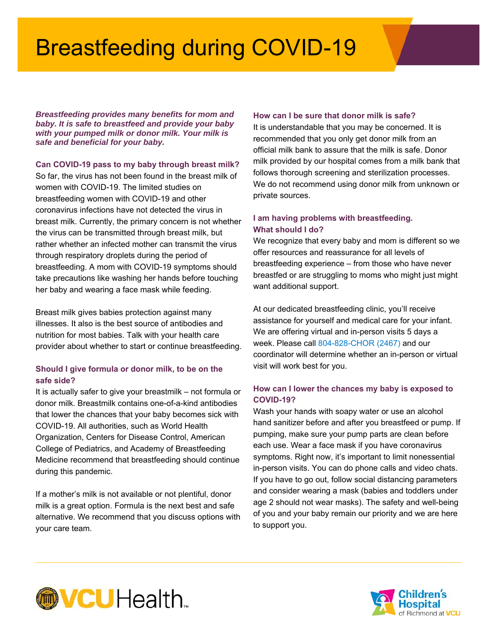## Breastfeeding during COVID-19

*Breastfeeding provides many benefits for mom and baby. It is safe to breastfeed and provide your baby with your pumped milk or donor milk. Your milk is safe and beneficial for your baby.* 

**Can COVID-19 pass to my baby through breast milk?** 

So far, the virus has not been found in the breast milk of women with COVID-19. The limited studies on breastfeeding women with COVID-19 and other coronavirus infections have not detected the virus in breast milk. Currently, the primary concern is not whether the virus can be transmitted through breast milk, but rather whether an infected mother can transmit the virus through respiratory droplets during the period of breastfeeding. A mom with COVID-19 symptoms should take precautions like washing her hands before touching her baby and wearing a face mask while feeding.

Breast milk gives babies protection against many illnesses. It also is the best source of antibodies and nutrition for most babies. Talk with your health care provider about whether to start or continue breastfeeding.

#### **Should I give formula or donor milk, to be on the safe side?**

It is actually safer to give your breastmilk – not formula or donor milk. Breastmilk contains one-of-a-kind antibodies that lower the chances that your baby becomes sick with COVID-19. All authorities, such as World Health Organization, Centers for Disease Control, American College of Pediatrics, and Academy of Breastfeeding Medicine recommend that breastfeeding should continue during this pandemic.

If a mother's milk is not available or not plentiful, donor milk is a great option. Formula is the next best and safe alternative. We recommend that you discuss options with your care team.

#### **How can I be sure that donor milk is safe?**

It is understandable that you may be concerned. It is recommended that you only get donor milk from an official milk bank to assure that the milk is safe. Donor milk provided by our hospital comes from a milk bank that follows thorough screening and sterilization processes. We do not recommend using donor milk from unknown or private sources.

### **I am having problems with breastfeeding. What should I do?**

We recognize that every baby and mom is different so we offer resources and reassurance for all levels of breastfeeding experience – from those who have never breastfed or are struggling to moms who might just might want additional support.

At our dedicated breastfeeding clinic, you'll receive assistance for yourself and medical care for your infant. We are offering virtual and in-person visits 5 days a week. Please call 804-828-CHOR (2467) and our coordinator will determine whether an in-person or virtual visit will work best for you.

### **How can I lower the chances my baby is exposed to COVID-19?**

Wash your hands with soapy water or use an alcohol hand sanitizer before and after you breastfeed or pump. If pumping, make sure your pump parts are clean before each use. Wear a face mask if you have coronavirus symptoms. Right now, it's important to limit nonessential in-person visits. You can do phone calls and video chats. If you have to go out, follow social distancing parameters and consider wearing a mask (babies and toddlers under age 2 should not wear masks). The safety and well-being of you and your baby remain our priority and we are here to support you.